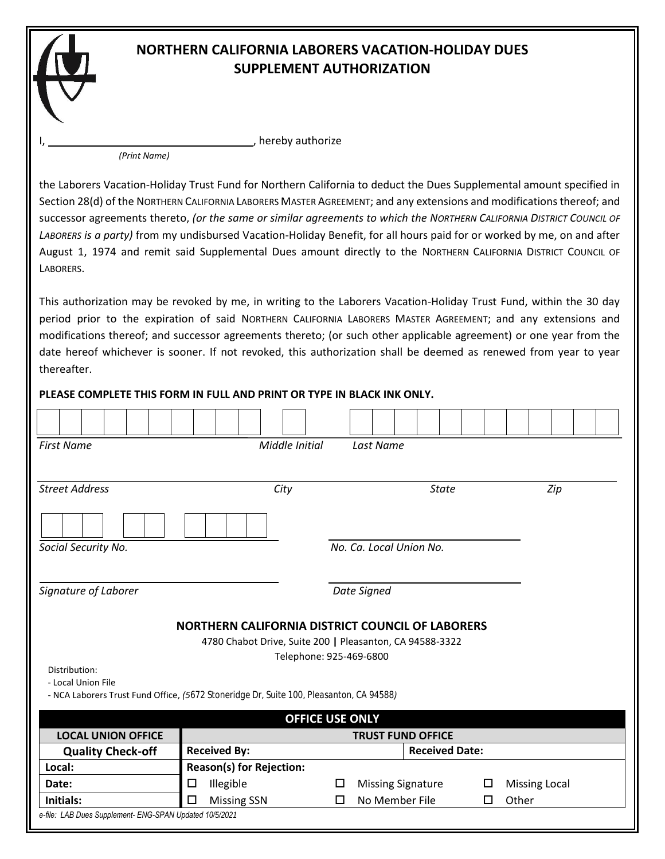## **NORTHERN CALIFORNIA LABORERS VACATION-HOLIDAY DUES SUPPLEMENT AUTHORIZATION**

*(Print Name)*

**I, hereby authorize** by authorize

the Laborers Vacation-Holiday Trust Fund for Northern California to deduct the Dues Supplemental amount specified in Section 28(d) of the NORTHERN CALIFORNIA LABORERS MASTER AGREEMENT; and any extensions and modifications thereof; and successor agreements thereto, *(or the same or similar agreements to which the NORTHERN CALIFORNIA DISTRICT COUNCIL OF LABORERS is a party)* from my undisbursed Vacation-Holiday Benefit, for all hours paid for or worked by me, on and after August 1, 1974 and remit said Supplemental Dues amount directly to the NORTHERN CALIFORNIA DISTRICT COUNCIL OF LABORERS.

This authorization may be revoked by me, in writing to the Laborers Vacation-Holiday Trust Fund, within the 30 day period prior to the expiration of said NORTHERN CALIFORNIA LABORERS MASTER AGREEMENT; and any extensions and modifications thereof; and successor agreements thereto; (or such other applicable agreement) or one year from the date hereof whichever is sooner. If not revoked, this authorization shall be deemed as renewed from year to year thereafter.

## **PLEASE COMPLETE THIS FORM IN FULL AND PRINT OR TYPE IN BLACK INK ONLY.**  $\overline{\phantom{a}}$

| <b>First Name</b><br>Middle Initial<br>Last Name                                                                                        |                                              |   |                              |                          |   |                      |  |  |  |
|-----------------------------------------------------------------------------------------------------------------------------------------|----------------------------------------------|---|------------------------------|--------------------------|---|----------------------|--|--|--|
|                                                                                                                                         |                                              |   |                              |                          |   |                      |  |  |  |
| <b>Street Address</b>                                                                                                                   | City                                         |   |                              | <b>State</b>             |   | Zip                  |  |  |  |
|                                                                                                                                         |                                              |   |                              |                          |   |                      |  |  |  |
| Social Security No.                                                                                                                     | No. Ca. Local Union No.                      |   |                              |                          |   |                      |  |  |  |
|                                                                                                                                         |                                              |   |                              |                          |   |                      |  |  |  |
| Signature of Laborer                                                                                                                    | Date Signed                                  |   |                              |                          |   |                      |  |  |  |
| NORTHERN CALIFORNIA DISTRICT COUNCIL OF LABORERS<br>4780 Chabot Drive, Suite 200   Pleasanton, CA 94588-3322<br>Telephone: 925-469-6800 |                                              |   |                              |                          |   |                      |  |  |  |
| Distribution:<br>- Local Union File                                                                                                     |                                              |   |                              |                          |   |                      |  |  |  |
| - NCA Laborers Trust Fund Office, (5672 Stoneridge Dr, Suite 100, Pleasanton, CA 94588)                                                 |                                              |   |                              |                          |   |                      |  |  |  |
| <b>OFFICE USE ONLY</b><br><b>LOCAL UNION OFFICE</b><br><b>TRUST FUND OFFICE</b>                                                         |                                              |   |                              |                          |   |                      |  |  |  |
| <b>Quality Check-off</b>                                                                                                                | <b>Received By:</b><br><b>Received Date:</b> |   |                              |                          |   |                      |  |  |  |
| Local:                                                                                                                                  | <b>Reason(s) for Rejection:</b>              |   |                              |                          |   |                      |  |  |  |
| Date:                                                                                                                                   | Illegible<br>□                               | □ |                              | <b>Missing Signature</b> | □ | <b>Missing Local</b> |  |  |  |
| Initials:                                                                                                                               | <b>Missing SSN</b><br>□                      | □ | No Member File<br>Other<br>□ |                          |   |                      |  |  |  |
| e-file: LAB Dues Supplement- ENG-SPAN Updated 10/5/2021                                                                                 |                                              |   |                              |                          |   |                      |  |  |  |